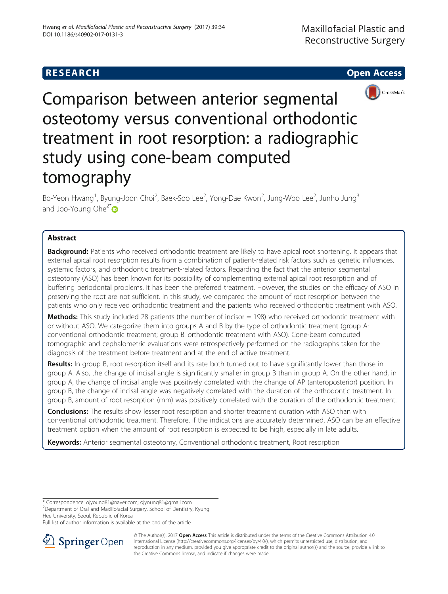# **RESEARCH CHEAR CHEAR CHEAR CHEAR CHEAR CHEAR CHEAR CHEAR CHEAR CHEAR CHEAR CHEAR CHEAR CHEAR CHEAR CHEAR CHEAR**



Comparison between anterior segmental osteotomy versus conventional orthodontic treatment in root resorption: a radiographic study using cone-beam computed tomography

Bo-Yeon Hwang<sup>1</sup>, Byung-Joon Choi<sup>2</sup>, Baek-Soo Lee<sup>2</sup>, Yong-Dae Kwon<sup>2</sup>, Jung-Woo Lee<sup>2</sup>, Junho Jung<sup>3</sup> and Joo-Young Ohe $2^* \bullet$  $2^* \bullet$  $2^* \bullet$ 

# Abstract

**Background:** Patients who received orthodontic treatment are likely to have apical root shortening. It appears that external apical root resorption results from a combination of patient-related risk factors such as genetic influences, systemic factors, and orthodontic treatment-related factors. Regarding the fact that the anterior segmental osteotomy (ASO) has been known for its possibility of complementing external apical root resorption and of buffering periodontal problems, it has been the preferred treatment. However, the studies on the efficacy of ASO in preserving the root are not sufficient. In this study, we compared the amount of root resorption between the patients who only received orthodontic treatment and the patients who received orthodontic treatment with ASO.

**Methods:** This study included 28 patients (the number of incisor  $= 198$ ) who received orthodontic treatment with or without ASO. We categorize them into groups A and B by the type of orthodontic treatment (group A: conventional orthodontic treatment; group B: orthodontic treatment with ASO). Cone-beam computed tomographic and cephalometric evaluations were retrospectively performed on the radiographs taken for the diagnosis of the treatment before treatment and at the end of active treatment.

Results: In group B, root resorption itself and its rate both turned out to have significantly lower than those in group A. Also, the change of incisal angle is significantly smaller in group B than in group A. On the other hand, in group A, the change of incisal angle was positively correlated with the change of AP (anteroposterior) position. In group B, the change of incisal angle was negatively correlated with the duration of the orthodontic treatment. In group B, amount of root resorption (mm) was positively correlated with the duration of the orthodontic treatment.

**Conclusions:** The results show lesser root resorption and shorter treatment duration with ASO than with conventional orthodontic treatment. Therefore, if the indications are accurately determined, ASO can be an effective treatment option when the amount of root resorption is expected to be high, especially in late adults.

Keywords: Anterior segmental osteotomy, Conventional orthodontic treatment, Root resorption

Department of Oral and Maxillofacial Surgery, School of Dentistry, Kyung Hee University, Seoul, Republic of Korea

Full list of author information is available at the end of the article



© The Author(s). 2017 **Open Access** This article is distributed under the terms of the Creative Commons Attribution 4.0 International License ([http://creativecommons.org/licenses/by/4.0/\)](http://creativecommons.org/licenses/by/4.0/), which permits unrestricted use, distribution, and reproduction in any medium, provided you give appropriate credit to the original author(s) and the source, provide a link to the Creative Commons license, and indicate if changes were made.

<sup>\*</sup> Correspondence: [ojyoung81@naver.com](mailto:ojyoung81@naver.com); [ojyoung81@gmail.com](mailto:ojyoung81@gmail.com) <sup>2</sup>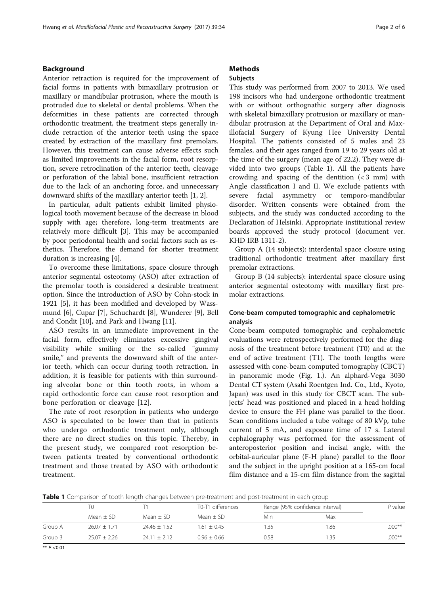# <span id="page-1-0"></span>Background

Anterior retraction is required for the improvement of facial forms in patients with bimaxillary protrusion or maxillary or mandibular protrusion, where the mouth is protruded due to skeletal or dental problems. When the deformities in these patients are corrected through orthodontic treatment, the treatment steps generally include retraction of the anterior teeth using the space created by extraction of the maxillary first premolars. However, this treatment can cause adverse effects such as limited improvements in the facial form, root resorption, severe retroclination of the anterior teeth, cleavage or perforation of the labial bone, insufficient retraction due to the lack of an anchoring force, and unnecessary downward shifts of the maxillary anterior teeth [\[1](#page-5-0), [2\]](#page-5-0).

In particular, adult patients exhibit limited physiological tooth movement because of the decrease in blood supply with age; therefore, long-term treatments are relatively more difficult [\[3](#page-5-0)]. This may be accompanied by poor periodontal health and social factors such as esthetics. Therefore, the demand for shorter treatment duration is increasing [\[4](#page-5-0)].

To overcome these limitations, space closure through anterior segmental osteotomy (ASO) after extraction of the premolar tooth is considered a desirable treatment option. Since the introduction of ASO by Cohn-stock in 1921 [\[5](#page-5-0)], it has been modified and developed by Wassmund [\[6](#page-5-0)], Cupar [[7\]](#page-5-0), Schuchardt [\[8](#page-5-0)], Wunderer [[9](#page-5-0)], Bell and Condit [[10\]](#page-5-0), and Park and Hwang [\[11](#page-5-0)].

ASO results in an immediate improvement in the facial form, effectively eliminates excessive gingival visibility while smiling or the so-called "gummy smile," and prevents the downward shift of the anterior teeth, which can occur during tooth retraction. In addition, it is feasible for patients with thin surrounding alveolar bone or thin tooth roots, in whom a rapid orthodontic force can cause root resorption and bone perforation or cleavage [[12\]](#page-5-0).

The rate of root resorption in patients who undergo ASO is speculated to be lower than that in patients who undergo orthodontic treatment only, although there are no direct studies on this topic. Thereby, in the present study, we compared root resorption between patients treated by conventional orthodontic treatment and those treated by ASO with orthodontic treatment.

# **Methods**

# Subjects

This study was performed from 2007 to 2013. We used 198 incisors who had undergone orthodontic treatment with or without orthognathic surgery after diagnosis with skeletal bimaxillary protrusion or maxillary or mandibular protrusion at the Department of Oral and Maxillofacial Surgery of Kyung Hee University Dental Hospital. The patients consisted of 5 males and 23 females, and their ages ranged from 19 to 29 years old at the time of the surgery (mean age of 22.2). They were divided into two groups (Table 1). All the patients have crowding and spacing of the dentition  $( $3 \text{ mm}$ )$  with Angle classification I and II. We exclude patients with severe facial asymmetry or temporo-mandibular disorder. Written consents were obtained from the subjects, and the study was conducted according to the Declaration of Helsinki. Appropriate institutional review boards approved the study protocol (document ver. KHD IRB 1311-2).

Group A (14 subjects): interdental space closure using traditional orthodontic treatment after maxillary first premolar extractions.

Group B (14 subjects): interdental space closure using anterior segmental osteotomy with maxillary first premolar extractions.

# Cone-beam computed tomographic and cephalometric analysis

Cone-beam computed tomographic and cephalometric evaluations were retrospectively performed for the diagnosis of the treatment before treatment (T0) and at the end of active treatment (T1). The tooth lengths were assessed with cone-beam computed tomography (CBCT) in panoramic mode (Fig. [1](#page-2-0).). An alphard-Vega 3030 Dental CT system (Asahi Roentgen Ind. Co., Ltd., Kyoto, Japan) was used in this study for CBCT scan. The subjects' head was positioned and placed in a head holding device to ensure the FH plane was parallel to the floor. Scan conditions included a tube voltage of 80 kVp, tube current of 5 mA, and exposure time of 17 s. Lateral cephalography was performed for the assessment of anteroposterior position and incisal angle, with the orbital-auricular plane (F-H plane) parallel to the floor and the subject in the upright position at a 165-cm focal film distance and a 15-cm film distance from the sagittal

**Table 1** Comparison of tooth length changes between pre-treatment and post-treatment in each group

|         | TO               | Mean $\pm$ SD    | T0-T1 differences<br>Mean $\pm$ SD | Range (95% confidence interval) |     | $P$ value |
|---------|------------------|------------------|------------------------------------|---------------------------------|-----|-----------|
|         | Mean $\pm$ SD    |                  |                                    | Min                             | Max |           |
| Group A | $26.07 + 1.71$   | $74.46 + 1.52$   | $1.61 + 0.45$                      | 1.35                            | -86 | $.000**$  |
| Group B | $25.07 \pm 2.26$ | $24.11 \pm 2.12$ | $0.96 \pm 0.66$                    | 0.58                            | .35 | $.000**$  |

\*\*  $P < 0.01$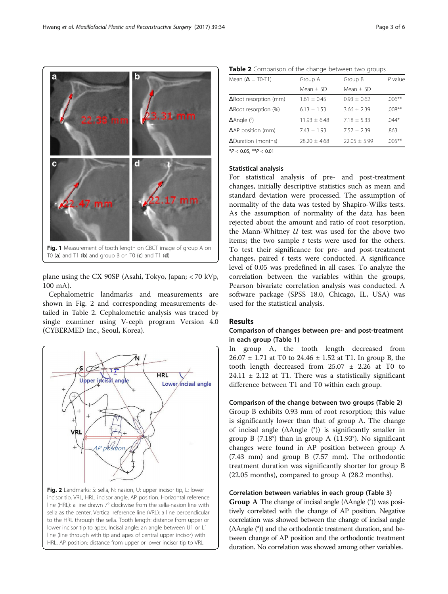plane using the CX 90SP (Asahi, Tokyo, Japan; < 70 kVp, 100 mA).

Cephalometric landmarks and measurements are shown in Fig. 2 and corresponding measurements detailed in Table 2. Cephalometric analysis was traced by single examiner using V-ceph program Version 4.0 (CYBERMED Inc., Seoul, Korea).



Fig. 2 Landmarks: S: sella, N: nasion, U: upper incisor tip, L: lower incisor tip, VRL, HRL, incisor angle, AP position. Horizontal reference line (HRL): a line drawn 7° clockwise from the sella-nasion line with sella as the center. Vertical reference line (VRL): a line perpendicular to the HRL through the sella. Tooth length: distance from upper or lower incisor tip to apex. Incisal angle: an angle between U1 or L1 line (line through with tip and apex of central upper incisor) with HRL. AP position: distance from upper or lower incisor tip to VRL

Table 2 Comparison of the change between two groups

| Mean $(\Delta = \text{To-T1})$ | Group A          | Group B          | $P$ value |
|--------------------------------|------------------|------------------|-----------|
|                                | Mean $\pm$ SD    | Mean $\pm$ SD    |           |
| $\Delta$ Root resorption (mm)  | $1.61 + 0.45$    | $0.93 \pm 0.62$  | $.006***$ |
| $\Delta$ Root resorption (%)   | $6.13 + 1.53$    | $3.66 + 2.39$    | $.008***$ |
| $\Delta$ Angle (°)             | $11.93 + 6.48$   | $7.18 + 5.33$    | $.044*$   |
| $\Delta$ AP position (mm)      | $7.43 + 1.93$    | $7.57 + 2.39$    | .863      |
| $\Delta$ Duration (months)     | $28.20 \pm 4.68$ | $22.05 \pm 5.99$ | $.005***$ |
| $*P < 0.05$ , $**P < 0.01$     |                  |                  |           |

# Statistical analysis

For statistical analysis of pre- and post-treatment changes, initially descriptive statistics such as mean and standard deviation were processed. The assumption of normality of the data was tested by Shapiro-Wilks tests. As the assumption of normality of the data has been rejected about the amount and ratio of root resorption, the Mann-Whitney  $U$  test was used for the above two items; the two sample  $t$  tests were used for the others. To test their significance for pre- and post-treatment changes, paired  $t$  tests were conducted. A significance level of 0.05 was predefined in all cases. To analyze the correlation between the variables within the groups, Pearson bivariate correlation analysis was conducted. A software package (SPSS 18.0, Chicago, IL, USA) was used for the statistical analysis.

# Results

# Comparison of changes between pre- and post-treatment in each group (Table [1](#page-1-0))

In group A, the tooth length decreased from  $26.07 \pm 1.71$  at T0 to 24.46  $\pm$  1.52 at T1. In group B, the tooth length decreased from  $25.07 \pm 2.26$  at T0 to 24.11  $\pm$  2.12 at T1. There was a statistically significant difference between T1 and T0 within each group.

# Comparison of the change between two groups (Table 2)

Group B exhibits 0.93 mm of root resorption; this value is significantly lower than that of group A. The change of incisal angle (ΔAngle (°)) is significantly smaller in group B (7.18°) than in group A (11.93°). No significant changes were found in AP position between group A (7.43 mm) and group B (7.57 mm). The orthodontic treatment duration was significantly shorter for group B (22.05 months), compared to group A (28.2 months).

### Correlation between variables in each group (Table [3\)](#page-3-0)

Group A The change of incisal angle (ΔAngle (°)) was positively correlated with the change of AP position. Negative correlation was showed between the change of incisal angle (ΔAngle (°)) and the orthodontic treatment duration, and between change of AP position and the orthodontic treatment duration. No correlation was showed among other variables.

<span id="page-2-0"></span>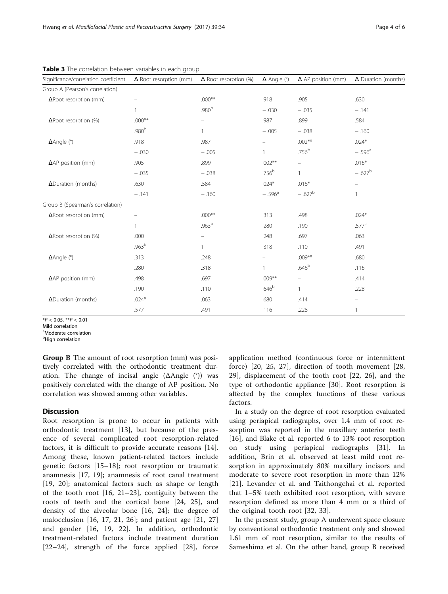| Significance/correlation coefficient | $\Delta$ Root resorption (mm) | $\Delta$ Root resorption (%) | $\Delta$ Angle (°) | $\Delta$ AP position (mm) | $\Delta$ Duration (months) |
|--------------------------------------|-------------------------------|------------------------------|--------------------|---------------------------|----------------------------|
| Group A (Pearson's correlation)      |                               |                              |                    |                           |                            |
| $\Delta$ Root resorption (mm)        |                               | $.000**$                     | .918               | .905                      | .630                       |
|                                      | 1                             | .980 <sup>b</sup>            | $-.030$            | $-.035$                   | $-.141$                    |
| $\Delta$ Root resorption (%)         | $.000**$                      | -                            | .987               | .899                      | .584                       |
|                                      | .980 <sup>b</sup>             | 1                            | $-.005$            | $-.038$                   | $-.160$                    |
| $\Delta$ Angle (°)                   | .918                          | .987                         |                    | $.002**$                  | $.024*$                    |
|                                      | $-.030$                       | $-.005$                      |                    | $.756^b$                  | $-.596a$                   |
| $\Delta$ AP position (mm)            | .905                          | .899                         | $.002**$           | $\overline{\phantom{0}}$  | $.016*$                    |
|                                      | $-.035$                       | $-.038$                      | .756 <sup>b</sup>  | $\mathbf{1}$              | $-.627^b$                  |
| $\Delta$ Duration (months)           | .630                          | .584                         | $.024*$            | $.016*$                   | $\overline{\phantom{m}}$   |
|                                      | $-.141$                       | $-.160$                      | $-.596a$           | $-.627^b$                 | 1                          |
| Group B (Spearman's correlation)     |                               |                              |                    |                           |                            |
| $\Delta$ Root resorption (mm)        |                               | $.000**$                     | .313               | .498                      | $.024*$                    |
|                                      | 1                             | .963 <sup>b</sup>            | .280               | .190                      | .577 <sup>a</sup>          |
| $\Delta$ Root resorption (%)         | .000                          | -                            | .248               | .697                      | .063                       |
|                                      | .963 <sup>b</sup>             | 1                            | .318               | .110                      | .491                       |
| $\Delta$ Angle (°)                   | .313                          | .248                         |                    | $.009***$                 | .680                       |
|                                      | .280                          | .318                         |                    | .646 <sup>b</sup>         | .116                       |
| $\Delta$ AP position (mm)            | .498                          | .697                         | $.009**$           | $\overline{\phantom{0}}$  | .414                       |
|                                      | .190                          | .110                         | .646 <sup>b</sup>  | 1                         | .228                       |
| $\Delta$ Duration (months)           | $.024*$                       | .063                         | .680               | .414                      | $\overline{\phantom{0}}$   |
|                                      | .577                          | .491                         | .116               | .228                      | 1                          |

<span id="page-3-0"></span>Table 3 The correlation between variables in each group

 $*P < 0.05$ ,  $*P < 0.01$ 

Mild correlation

<sup>a</sup>Moderate correlation

<sup>b</sup>High correlation

Group B The amount of root resorption (mm) was positively correlated with the orthodontic treatment duration. The change of incisal angle  $(∆Angle (°))$  was positively correlated with the change of AP position. No correlation was showed among other variables.

### **Discussion**

Root resorption is prone to occur in patients with orthodontic treatment [\[13](#page-5-0)], but because of the presence of several complicated root resorption-related factors, it is difficult to provide accurate reasons [\[14](#page-5-0)]. Among these, known patient-related factors include genetic factors [\[15](#page-5-0)–[18](#page-5-0)]; root resorption or traumatic anamnesis [\[17](#page-5-0), [19\]](#page-5-0); anamnesis of root canal treatment [[19, 20\]](#page-5-0); anatomical factors such as shape or length of the tooth root [\[16](#page-5-0), [21](#page-5-0)–[23](#page-5-0)], contiguity between the roots of teeth and the cortical bone [[24, 25](#page-5-0)], and density of the alveolar bone [[16, 24\]](#page-5-0); the degree of malocclusion [[16, 17](#page-5-0), [21, 26\]](#page-5-0); and patient age [[21, 27](#page-5-0)] and gender [[16, 19](#page-5-0), [22](#page-5-0)]. In addition, orthodontic treatment-related factors include treatment duration [[22](#page-5-0)–[24\]](#page-5-0), strength of the force applied [[28\]](#page-5-0), force

application method (continuous force or intermittent force) [[20](#page-5-0), [25](#page-5-0), [27](#page-5-0)], direction of tooth movement [\[28](#page-5-0), [29\]](#page-5-0), displacement of the tooth root [[22](#page-5-0), [26](#page-5-0)], and the type of orthodontic appliance [\[30](#page-5-0)]. Root resorption is affected by the complex functions of these various factors.

In a study on the degree of root resorption evaluated using periapical radiographs, over 1.4 mm of root resorption was reported in the maxillary anterior teeth [[16\]](#page-5-0), and Blake et al. reported 6 to 13% root resorption on study using periapical radiographs [[31\]](#page-5-0). In addition, Brin et al. observed at least mild root resorption in approximately 80% maxillary incisors and moderate to severe root resorption in more than 12% [[21\]](#page-5-0). Levander et al. and Taithongchai et al. reported that 1–5% teeth exhibited root resorption, with severe resorption defined as more than 4 mm or a third of the original tooth root [\[32](#page-5-0), [33](#page-5-0)].

In the present study, group A underwent space closure by conventional orthodontic treatment only and showed 1.61 mm of root resorption, similar to the results of Sameshima et al. On the other hand, group B received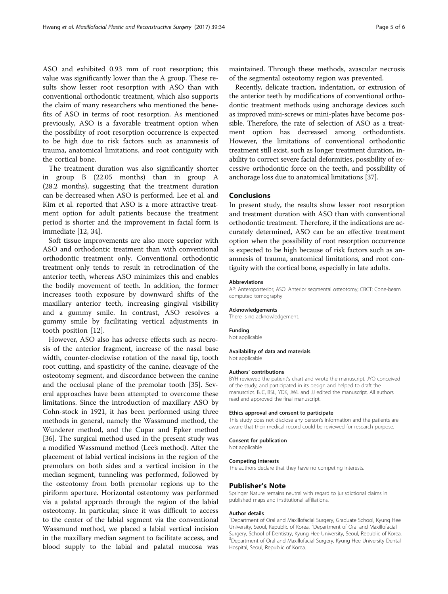ASO and exhibited 0.93 mm of root resorption; this value was significantly lower than the A group. These results show lesser root resorption with ASO than with conventional orthodontic treatment, which also supports the claim of many researchers who mentioned the benefits of ASO in terms of root resorption. As mentioned previously, ASO is a favorable treatment option when the possibility of root resorption occurrence is expected to be high due to risk factors such as anamnesis of trauma, anatomical limitations, and root contiguity with the cortical bone.

The treatment duration was also significantly shorter in group B (22.05 months) than in group A (28.2 months), suggesting that the treatment duration can be decreased when ASO is performed. Lee et al. and Kim et al. reported that ASO is a more attractive treatment option for adult patients because the treatment period is shorter and the improvement in facial form is immediate [[12, 34\]](#page-5-0).

Soft tissue improvements are also more superior with ASO and orthodontic treatment than with conventional orthodontic treatment only. Conventional orthodontic treatment only tends to result in retroclination of the anterior teeth, whereas ASO minimizes this and enables the bodily movement of teeth. In addition, the former increases tooth exposure by downward shifts of the maxillary anterior teeth, increasing gingival visibility and a gummy smile. In contrast, ASO resolves a gummy smile by facilitating vertical adjustments in tooth position [[12\]](#page-5-0).

However, ASO also has adverse effects such as necrosis of the anterior fragment, increase of the nasal base width, counter-clockwise rotation of the nasal tip, tooth root cutting, and spasticity of the canine, cleavage of the osteotomy segment, and discordance between the canine and the occlusal plane of the premolar tooth [[35\]](#page-5-0). Several approaches have been attempted to overcome these limitations. Since the introduction of maxillary ASO by Cohn-stock in 1921, it has been performed using three methods in general, namely the Wassmund method, the Wunderer method, and the Cupar and Epker method [[36\]](#page-5-0). The surgical method used in the present study was a modified Wassmund method (Lee's method). After the placement of labial vertical incisions in the region of the premolars on both sides and a vertical incision in the median segment, tunneling was performed, followed by the osteotomy from both premolar regions up to the piriform aperture. Horizontal osteotomy was performed via a palatal approach through the region of the labial osteotomy. In particular, since it was difficult to access to the center of the labial segment via the conventional Wassmund method, we placed a labial vertical incision in the maxillary median segment to facilitate access, and blood supply to the labial and palatal mucosa was

maintained. Through these methods, avascular necrosis of the segmental osteotomy region was prevented.

Recently, delicate traction, indentation, or extrusion of the anterior teeth by modifications of conventional orthodontic treatment methods using anchorage devices such as improved mini-screws or mini-plates have become possible. Therefore, the rate of selection of ASO as a treatment option has decreased among orthodontists. However, the limitations of conventional orthodontic treatment still exist, such as longer treatment duration, inability to correct severe facial deformities, possibility of excessive orthodontic force on the teeth, and possibility of anchorage loss due to anatomical limitations [\[37](#page-5-0)].

## **Conclusions**

In present study, the results show lesser root resorption and treatment duration with ASO than with conventional orthodontic treatment. Therefore, if the indications are accurately determined, ASO can be an effective treatment option when the possibility of root resorption occurrence is expected to be high because of risk factors such as anamnesis of trauma, anatomical limitations, and root contiguity with the cortical bone, especially in late adults.

#### Abbreviations

AP: Anteroposterior; ASO: Anterior segmental osteotomy; CBCT: Cone-beam computed tomography

#### Acknowledgements

There is no acknowledgement.

### Funding

Not applicable

#### Availability of data and materials

Not applicable

#### Authors' contributions

BYH reviewed the patient's chart and wrote the manuscript. JYO conceived of the study, and participated in its design and helped to draft the manuscript. BJC, BSL, YDK, JWL and JJ edited the manuscript. All authors read and approved the final manuscript.

#### Ethics approval and consent to participate

This study does not disclose any person's information and the patients are aware that their medical record could be reviewed for research purpose.

#### Consent for publication

Not applicable

### Competing interests

The authors declare that they have no competing interests.

### Publisher's Note

Springer Nature remains neutral with regard to jurisdictional claims in published maps and institutional affiliations.

#### Author details

<sup>1</sup>Department of Oral and Maxillofacial Surgery, Graduate School, Kyung Hee University, Seoul, Republic of Korea. <sup>2</sup> Department of Oral and Maxillofacial Surgery, School of Dentistry, Kyung Hee University, Seoul, Republic of Korea. <sup>3</sup>Department of Oral and Maxillofacial Surgery, Kyung Hee University Dental Hospital, Seoul, Republic of Korea.